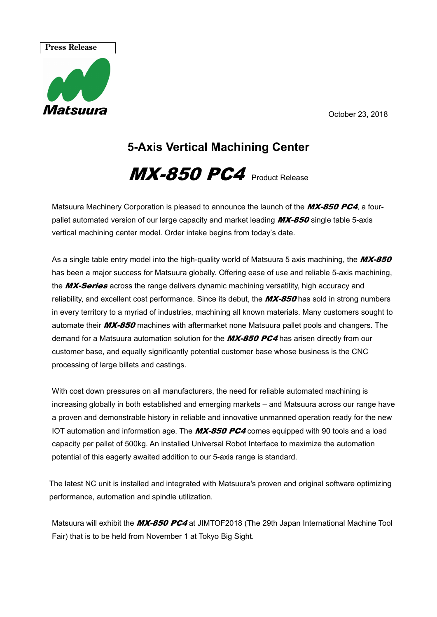October 23, 2018

# **Press Release**



## **5-Axis Vertical Machining Center**

## $MX-850$  PC4  $_{\text{Product} \text{ Release}}$

Matsuura Machinery Corporation is pleased to announce the launch of the MX-850 PC4, a fourpallet automated version of our large capacity and market leading  $MX-850$  single table 5-axis vertical machining center model. Order intake begins from today's date.

As a single table entry model into the high-quality world of Matsuura 5 axis machining, the MX-850 has been a major success for Matsuura globally. Offering ease of use and reliable 5-axis machining, the MX-Series across the range delivers dynamic machining versatility, high accuracy and reliability, and excellent cost performance. Since its debut, the **MX-850** has sold in strong numbers in every territory to a myriad of industries, machining all known materials. Many customers sought to automate their MX-850 machines with aftermarket none Matsuura pallet pools and changers. The demand for a Matsuura automation solution for the MX-850 PC4 has arisen directly from our customer base, and equally significantly potential customer base whose business is the CNC processing of large billets and castings.

With cost down pressures on all manufacturers, the need for reliable automated machining is increasing globally in both established and emerging markets – and Matsuura across our range have a proven and demonstrable history in reliable and innovative unmanned operation ready for the new IOT automation and information age. The  $MX-850$  PC4 comes equipped with 90 tools and a load capacity per pallet of 500kg. An installed Universal Robot Interface to maximize the automation potential of this eagerly awaited addition to our 5-axis range is standard.

The latest NC unit is installed and integrated with Matsuura's proven and original software optimizing performance, automation and spindle utilization.

Matsuura will exhibit the MX-850 PC4 at JIMTOF2018 (The 29th Japan International Machine Tool Fair) that is to be held from November 1 at Tokyo Big Sight.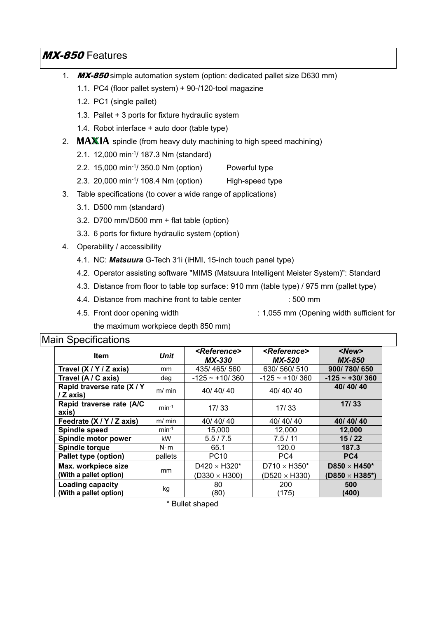### MX-850 Features

- 1. MX-850 simple automation system (option: dedicated pallet size D630 mm)
	- 1.1. PC4 (floor pallet system) + 90-/120-tool magazine
	- 1.2. PC1 (single pallet)
	- 1.3. Pallet + 3 ports for fixture hydraulic system
	- 1.4. Robot interface + auto door (table type)
- 2.  $MAXIA$  spindle (from heavy duty machining to high speed machining)
	- 2.1. 12,000 min-1/ 187.3 Nm (standard)
	- 2.2. 15,000 min-1/ 350.0 Nm (option) Powerful type
	- 2.3. 20,000 min-1/ 108.4 Nm (option) High-speed type
- 3. Table specifications (to cover a wide range of applications)
	- 3.1. D500 mm (standard)
	- 3.2. D700 mm/D500 mm + flat table (option)
	- 3.3. 6 ports for fixture hydraulic system (option)
- 4. Operability / accessibility
	- 4.1. NC: *Matsuura* G-Tech 31i (iHMI, 15-inch touch panel type)
	- 4.2. Operator assisting software "MIMS (Matsuura Intelligent Meister System)": Standard
	- 4.3. Distance from floor to table top surface : 910 mm (table type) / 975 mm (pallet type)
	- 4.4. Distance from machine front to table center : 500 mm
	- 4.5. Front door opening width : 1,055 mm (Opening width sufficient for

### the maximum workpiece depth 850 mm)

### Main Specifications

| <b>Item</b>                                       | <b>Unit</b>   | <reference><br/><b>MX-330</b></reference> | <reference><br/><b>MX-520</b></reference> | $<$ New $>$<br><b>MX-850</b> |
|---------------------------------------------------|---------------|-------------------------------------------|-------------------------------------------|------------------------------|
| Travel (X / Y / Z axis)                           | <sub>mm</sub> | 435/465/560                               | 630/560/510                               | 900/780/650                  |
| Travel (A / C axis)                               | deg           | $-125 - +10/360$                          | $-125 - +10/360$                          | $-125 - 130/360$             |
| Rapid traverse rate (X / Y<br>/ Z axis)           | $m/m$ in      | 40/40/40                                  | 40/40/40                                  | 40/40/40                     |
| Rapid traverse rate (A/C<br>axis)                 | $min-1$       | 17/33                                     | 17/33                                     | 17/33                        |
| Feedrate (X / Y / Z axis)                         | $m/m$ in      | 40/40/40                                  | 40/40/40                                  | 40/40/40                     |
| <b>Spindle speed</b>                              | $min-1$       | 15,000                                    | 12,000                                    | 12,000                       |
| Spindle motor power                               | kW            | 5.5/7.5                                   | 7.5/11                                    | 15/22                        |
| <b>Spindle torque</b>                             | $N \cdot m$   | 65.1                                      | 120.0                                     | 187.3                        |
| Pallet type (option)                              | pallets       | <b>PC10</b>                               | PC4                                       | PC4                          |
| Max. workpiece size                               | mm            | D420 $\times$ H320*                       | D710 $\times$ H350*                       | D850 $\times$ H450*          |
| (With a pallet option)                            |               | $(D330 \times H300)$                      | $(D520 \times H330)$                      | (D850 $\times$ H385*)        |
| <b>Loading capacity</b><br>(With a pallet option) | kg            | 80<br>(80)                                | 200<br>(175)                              | 500<br>(400)                 |

\* Bullet shaped